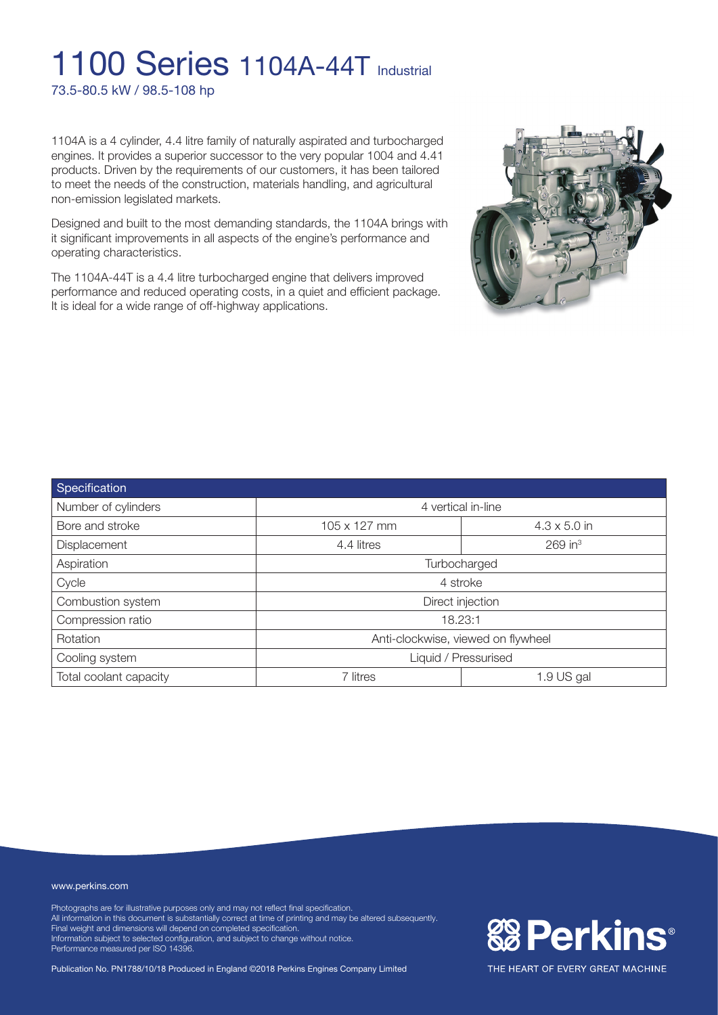## **1100 Series 1104A-44T Industrial** 73.5-80.5 kW / 98.5-108 hp

1104A is a 4 cylinder, 4.4 litre family of naturally aspirated and turbocharged engines. It provides a superior successor to the very popular 1004 and 4.41 products. Driven by the requirements of our customers, it has been tailored to meet the needs of the construction, materials handling, and agricultural non-emission legislated markets.

Designed and built to the most demanding standards, the 1104A brings with it significant improvements in all aspects of the engine's performance and operating characteristics.

The 1104A-44T is a 4.4 litre turbocharged engine that delivers improved performance and reduced operating costs, in a quiet and efficient package. It is ideal for a wide range of off-highway applications.



| Specification          |                                    |                       |  |
|------------------------|------------------------------------|-----------------------|--|
| Number of cylinders    | 4 vertical in-line                 |                       |  |
| Bore and stroke        | 105 x 127 mm                       | $4.3 \times 5.0$ in   |  |
| Displacement           | 4.4 litres                         | $269$ in <sup>3</sup> |  |
| Aspiration             | Turbocharged                       |                       |  |
| Cycle                  | 4 stroke                           |                       |  |
| Combustion system      | Direct injection                   |                       |  |
| Compression ratio      | 18.23:1                            |                       |  |
| Rotation               | Anti-clockwise, viewed on flywheel |                       |  |
| Cooling system         | Liquid / Pressurised               |                       |  |
| Total coolant capacity | 7 litres                           | 1.9 US gal            |  |

#### www.perkins.com

Photographs are for illustrative purposes only and may not reflect final specification. All information in this document is substantially correct at time of printing and may be altered subsequently. Final weight and dimensions will depend on completed specification. Information subject to selected configuration, and subject to change without notice. Performance measured per ISO 14396.

Publication No. PN1788/10/18 Produced in England ©2018 Perkins Engines Company Limited

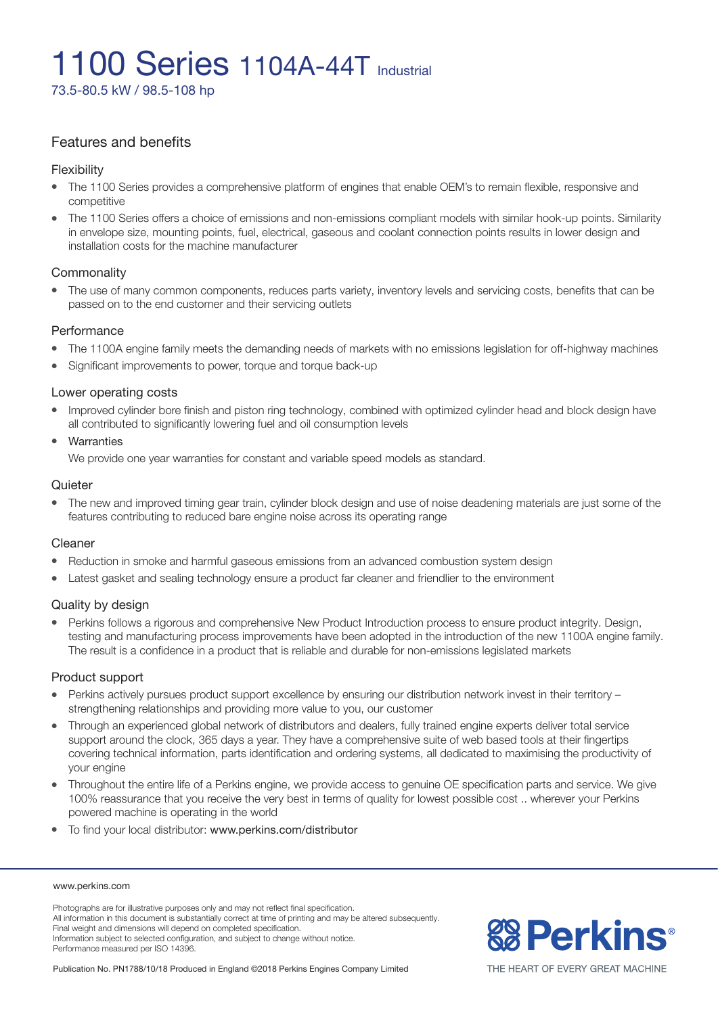73.5-80.5 kW / 98.5-108 hp

### Features and benefits

#### Flexibility

- The 1100 Series provides a comprehensive platform of engines that enable OEM's to remain flexible, responsive and competitive
- The 1100 Series offers a choice of emissions and non-emissions compliant models with similar hook-up points. Similarity in envelope size, mounting points, fuel, electrical, gaseous and coolant connection points results in lower design and installation costs for the machine manufacturer

### **Commonality**

• The use of many common components, reduces parts variety, inventory levels and servicing costs, benefits that can be passed on to the end customer and their servicing outlets

#### Performance

- The 1100A engine family meets the demanding needs of markets with no emissions legislation for off-highway machines
- Significant improvements to power, torque and torque back-up

#### Lower operating costs

• Improved cylinder bore finish and piston ring technology, combined with optimized cylinder head and block design have all contributed to significantly lowering fuel and oil consumption levels

#### **Warranties**

We provide one year warranties for constant and variable speed models as standard.

#### **Quieter**

The new and improved timing gear train, cylinder block design and use of noise deadening materials are just some of the features contributing to reduced bare engine noise across its operating range

### Cleaner

- Reduction in smoke and harmful gaseous emissions from an advanced combustion system design
- Latest gasket and sealing technology ensure a product far cleaner and friendlier to the environment

### Quality by design

<sup>l</sup> Perkins follows a rigorous and comprehensive New Product Introduction process to ensure product integrity. Design, testing and manufacturing process improvements have been adopted in the introduction of the new 1100A engine family. The result is a confidence in a product that is reliable and durable for non-emissions legislated markets

#### Product support

- Perkins actively pursues product support excellence by ensuring our distribution network invest in their territory strengthening relationships and providing more value to you, our customer
- <sup>l</sup> Through an experienced global network of distributors and dealers, fully trained engine experts deliver total service support around the clock, 365 days a year. They have a comprehensive suite of web based tools at their fingertips covering technical information, parts identification and ordering systems, all dedicated to maximising the productivity of your engine
- <sup>l</sup> Throughout the entire life of a Perkins engine, we provide access to genuine OE specification parts and service. We give 100% reassurance that you receive the very best in terms of quality for lowest possible cost .. wherever your Perkins powered machine is operating in the world
- To find your local distributor: www.perkins.com/distributor

#### www.perkins.com

Photographs are for illustrative purposes only and may not reflect final specification. All information in this document is substantially correct at time of printing and may be altered subsequently. Final weight and dimensions will depend on completed specification. Information subject to selected configuration, and subject to change without notice. Performance measured per ISO 14396.

Publication No. PN1788/10/18 Produced in England ©2018 Perkins Engines Company Limited



THE HEART OF EVERY GREAT MACHINE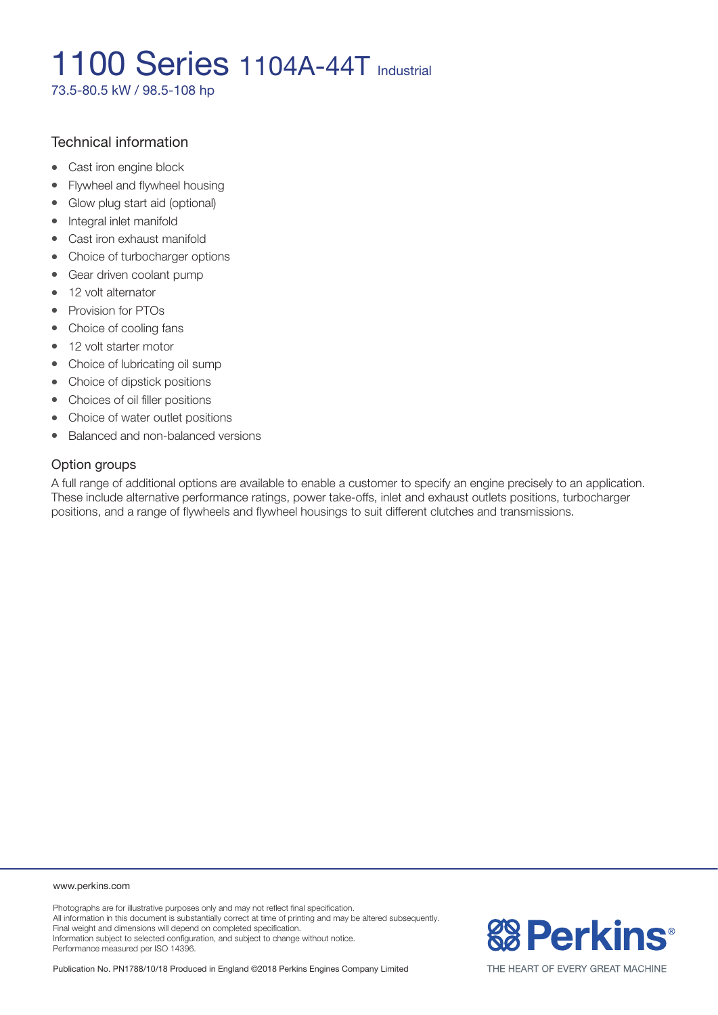73.5-80.5 kW / 98.5-108 hp

### Technical information

- Cast iron engine block
- Flywheel and flywheel housing
- Glow plug start aid (optional)
- Integral inlet manifold
- Cast iron exhaust manifold
- Choice of turbocharger options
- Gear driven coolant pump
- 12 volt alternator
- Provision for PTOs
- Choice of cooling fans
- 12 volt starter motor
- Choice of lubricating oil sump
- Choice of dipstick positions
- Choices of oil filler positions
- Choice of water outlet positions
- Balanced and non-balanced versions

### Option groups

A full range of additional options are available to enable a customer to specify an engine precisely to an application. These include alternative performance ratings, power take-offs, inlet and exhaust outlets positions, turbocharger positions, and a range of flywheels and flywheel housings to suit different clutches and transmissions.

#### www.perkins.com

Photographs are for illustrative purposes only and may not reflect final specification. All information in this document is substantially correct at time of printing and may be altered subsequently. Final weight and dimensions will depend on completed specification. Information subject to selected configuration, and subject to change without notice. Performance measured per ISO 14396.

Publication No. PN1788/10/18 Produced in England ©2018 Perkins Engines Company Limited



THE HEART OF EVERY GREAT MACHINE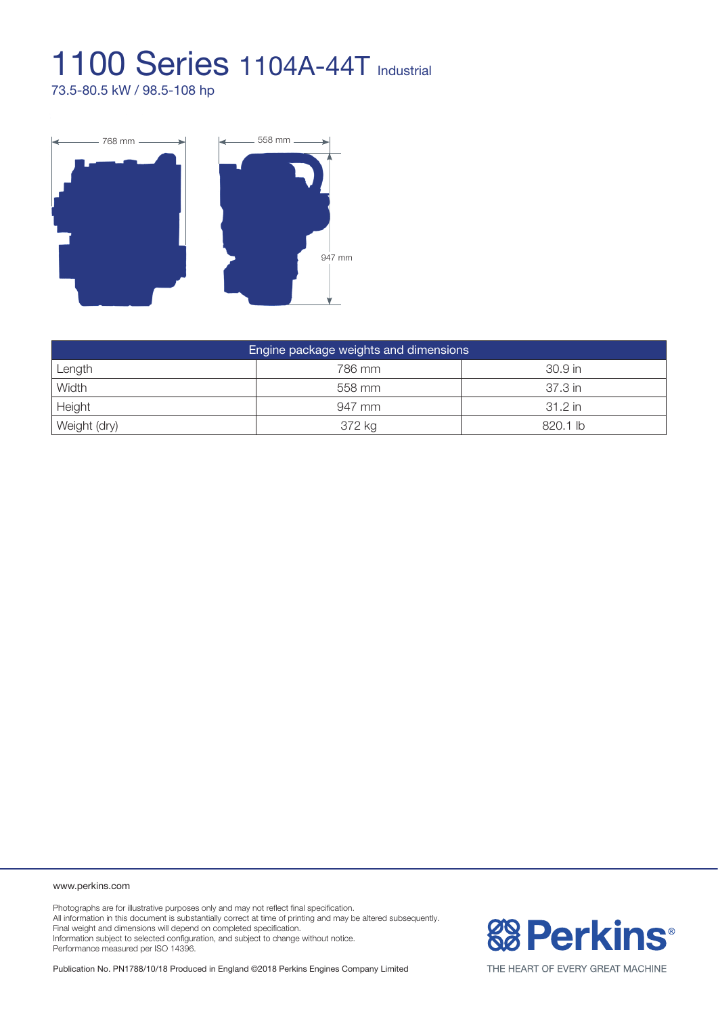73.5-80.5 kW / 98.5-108 hp



| Engine package weights and dimensions |        |           |  |
|---------------------------------------|--------|-----------|--|
| Length                                | 786 mm | $30.9$ in |  |
| Width                                 | 558 mm | 37.3 in   |  |
| Height                                | 947 mm | 31.2 in   |  |
| Weight (dry)                          | 372 kg | 820.1 lb  |  |

www.perkins.com

Photographs are for illustrative purposes only and may not reflect final specification. All information in this document is substantially correct at time of printing and may be altered subsequently. Final weight and dimensions will depend on completed specification. Information subject to selected configuration, and subject to change without notice. Performance measured per ISO 14396.

Publication No. PN1788/10/18 Produced in England ©2018 Perkins Engines Company Limited



THE HEART OF EVERY GREAT MACHINE